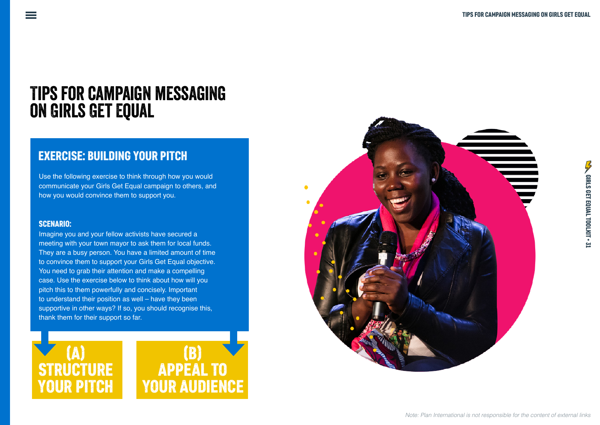# Tips for campaign messaging on Girls Get Equal

## EXERCISE: BUILDING YOUR PITCH

Use the following exercise to think through how you would communicate your Girls Get Equal campaign to others, and how you would convince them to support you.

#### SCENARIO:

Imagine you and your fellow activists have secured a meeting with your town mayor to ask them for local funds. They are a busy person. You have a limited amount of time to convince them to support your Girls Get Equal objective. You need to grab their attention and make a compelling case. Use the exercise below to think about how will you pitch this to them powerfully and concisely. Important to understand their position as well – have they been supportive in other ways? If so, you should recognise this, thank them for their support so far.



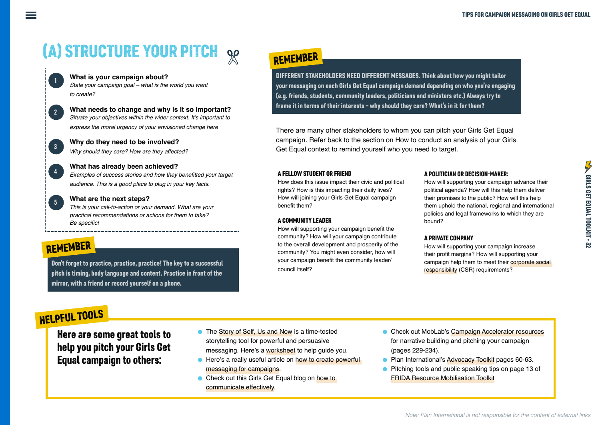# (A) STRUCTURE YOUR PITCH

**What is your campaign about?** *State your campaign goal – what is the world you want to create?*

**What needs to change and why is it so important?**  Situate your objectives within the wider context. It's important to *express the moral urgency of your envisioned change here*

**Why do they need to be involved?** *Why should they care? How are they affected?*

**What has already been achieved?** Examples of success stories and how they benefitted your target *audience. This is a good place to plug in your key facts.*

**What are the next steps?** *This is your call-to-action or your demand. What are your practical recommendations or actions for them to take?*  Be specific!

## REMEMBER

1

2

3

4

5

Don't forget to practice, practice, practice! The key to a successful pitch is timing, body language and content. Practice in front of the mirror, with a friend or record yourself on a phone.

# REMEMBER

DIFFERENT STAKEHOLDERS NEED DIFFERENT MESSAGES. Think about how you might tailor your messaging on each Girls Get Equal campaign demand depending on who you're engaging (e.g. friends, students, community leaders, politicians and ministers etc.) Always try to frame it in terms of their interests – why should they care? What's in it for them?

There are many other stakeholders to whom you can pitch your Girls Get Equal campaign. Refer back to the section on How to conduct an analysis of your Girls Get Equal context to remind yourself who you need to target.

#### A FELLOW STUDENT OR FRIEND

How does this issue impact their civic and political rights? How is this impacting their daily lives? How will joining your Girls Get Equal campaign benefit them?

#### A COMMUNITY LEADER

How will supporting your campaign benefit the community? How will your campaign contribute to the overall development and prosperity of the community? You might even consider, how will your campaign benefit the community leader/ council itself?

#### A POLITICIAN OR DECISION-MAKER:

How will supporting your campaign advance their political agenda? How will this help them deliver their promises to the public? How will this help them uphold the national, regional and international policies and legal frameworks to which they are bound?

#### A PRIVATE COMPANY

How will supporting your campaign increase their profit margins? How will supporting your campaign help them to meet their [corporate social](https://www.mckinsey.com/featured-insights/leadership/making-the-most-of-corporate-social-responsibility)  [responsibility](https://www.mckinsey.com/featured-insights/leadership/making-the-most-of-corporate-social-responsibility) (CSR) requirements?

# HELPFUL TOOLS

Here are some great tools to help you pitch your Girls Get Equal campaign to others:

- The [Story of Self, Us and Now](https://beautifulrising.org/tool/story-of-self-us-and-now) is a time-tested storytelling tool for powerful and persuasive messaging. Here's a [worksheet](http://marshallganz.usmblogs.com/files/2012/08/Public-Narrative-Worksheet-Fall-2013-.pdf) to help guide you.
- **•** Here's a really useful article on how to create powerful [messaging for campaigns.](https://medium.com/@ippf/reframing-the-debate-how-language-changes-hearts-minds-89212f0f5727)
- Check out this Girls Get Equal blog on how to [communicate effectively](https://plan-international.org/girls-get-equal/how-communicate-effectively).
- **Check out MobLab's [Campaign Accelerator resources](https://mobilisationlab.org/wp-content/uploads/2019/03/CA-plan-pitch-final.pdf)** for narrative building and pitching your campaign (pages 229-234).
- **Plan International's [Advocacy Toolkit](https://bit.ly/3aBsPvL) pages 60-63.**
- Pitching tools and public speaking tips on page 13 of [FRIDA Resource Mobilisation Toolkit](https://youngfeministfund.org/wp-content/uploads/2017/11/FRIDA-RM-Toolkit-2017.pdf)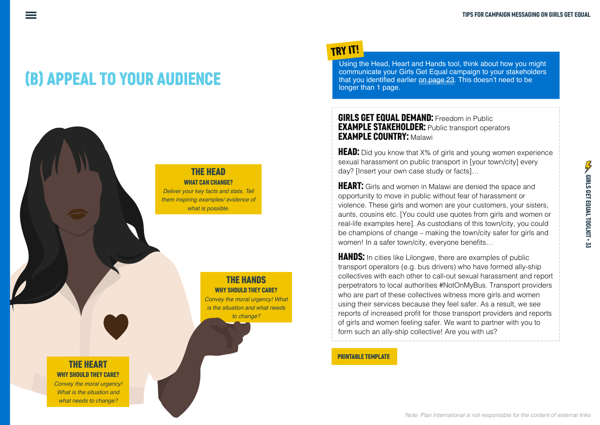# (B) APPEAL TO YOUR AUDIENCE

## THE HEAD

WHAT CAN CHANGE? *Deliver your key facts and stats. Tell them inspiring examples/ evidence of what is possible.*

#### THE HANDS WHY SHOULD THEY CARE?

Convey the moral urgency! What *is the situation and what needs to change?*

# TRY IT!

Using the Head, Heart and Hands tool, think about how you might communicate your Girls Get Equal campaign to your stakeholders that you identified earlier on page 23. This doesn't need to be longer than 1 page.

#### **GIRLS GET EQUAL DEMAND:** Freedom in Public **EXAMPLE STAKEHOLDER:** Public transport operators EXAMPLE COUNTRY: Malawi

**HEAD:** Did you know that X% of girls and young women experience sexual harassment on public transport in [your town/city] every day? [Insert your own case study or facts]…

**HEART:** Girls and women in Malawi are denied the space and opportunity to move in public without fear of harassment or violence. These girls and women are your customers, your sisters, aunts, cousins etc. [You could use quotes from girls and women or real-life examples here]. As custodians of this town/city, you could be champions of change – making the town/city safer for girls and women! In a safer town/city, everyone benefits...

**HANDS:** In cities like Lilongwe, there are examples of public transport operators (e.g. bus drivers) who have formed ally-ship collectives with each other to call-out sexual harassment and report perpetrators to local authorities #NotOnMyBus. Transport providers who are part of these collectives witness more girls and women using their services because they feel safer. As a result, we see reports of increased profit for those transport providers and reports of girls and women feeling safer. We want to partner with you to form such an ally-ship collective! Are you with us?

#### PRINTABLE TEMPLATE

THE HEART WHY SHOULD THEY CARE?

Convey the moral urgency! *What is the situation and what needs to change?*

#### *Note: Plan International is not responsible for the content of external links*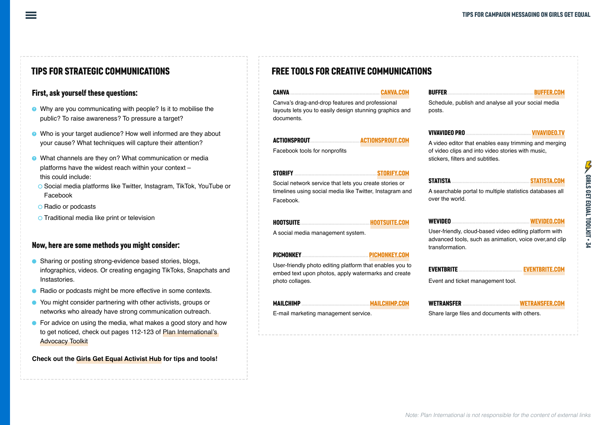#### First, ask yourself these questions:

- **B** Why are you communicating with people? Is it to mobilise the public? To raise awareness? To pressure a target?
- **B** Who is your target audience? How well informed are they about your cause? What techniques will capture their attention?
- **B** What channels are they on? What communication or media platforms have the widest reach within your context – this could include:
- o Social media platforms like Twitter, Instagram, TikTok, YouTube or Facebook
- o Radio or podcasts
- **O** Traditional media like print or television

#### Now, here are some methods you might consider:

- ā Sharing or posting strong-evidence based stories, blogs, infographics, videos. Or creating engaging TikToks, Snapchats and Instastories.
- Radio or podcasts might be more effective in some contexts.
- You might consider partnering with other activists, groups or networks who already have strong communication outreach.
- **•** For advice on using the media, what makes a good story and how to get noticed, check out pages 112-123 of [Plan International's](https://bit.ly/3aBsPvL)  [Advocacy Toolkit](https://bit.ly/3aBsPvL)

**Check out the [Girls Get Equal Activist Hub](https://plan-international.org/girls-get-equal/activist-hub) for tips and tools!**

### TIPS FOR STRATEGIC COMMUNICATIONS FREE TOOLS FOR CREATIVE COMMUNICATIONS

| CANVA                                                                                                                    |  | <b>BUFFER</b>                                                                                                                        | <b>BUFFER</b> |
|--------------------------------------------------------------------------------------------------------------------------|--|--------------------------------------------------------------------------------------------------------------------------------------|---------------|
| Canva's drag-and-drop features and professional<br>layouts lets you to easily design stunning graphics and<br>documents. |  | Schedule, publish and analyse all your social media<br>posts.                                                                        |               |
|                                                                                                                          |  |                                                                                                                                      |               |
|                                                                                                                          |  | A video editor that enables easy trimming and merging                                                                                |               |
| Facebook tools for nonprofits                                                                                            |  | of video clips and into video stories with music,<br>stickers, filters and subtitles.                                                |               |
| STORIFY NATIONAL RESIDENCE STORIFY.COM                                                                                   |  |                                                                                                                                      |               |
| Social network service that lets you create stories or                                                                   |  | STATISTA COMPARE STATISTA.COM                                                                                                        |               |
| timelines using social media like Twitter, Instagram and                                                                 |  | A searchable portal to multiple statistics databases all                                                                             |               |
| Facebook.                                                                                                                |  | over the world.                                                                                                                      |               |
|                                                                                                                          |  | <b>WEVIDEO</b>                                                                                                                       |               |
| A social media management system.                                                                                        |  | User-friendly, cloud-based video editing platform with<br>advanced tools, such as animation, voice over, and clip<br>transformation. |               |
|                                                                                                                          |  |                                                                                                                                      |               |
| User-friendly photo editing platform that enables you to                                                                 |  | EVENTBRITE                                                                                                                           |               |
|                                                                                                                          |  |                                                                                                                                      |               |

embed text upon photos, apply watermarks and create Event and ticket management tool.

photo collages.

MAILCHIMP ................................................[MAILCHIMP.COM](https://mailchimp.com)

E-mail marketing management service.

| <b>WETRANSFER</b> | <b>WETRANSFER.COM</b> |
|-------------------|-----------------------|

Share large files and documents with others.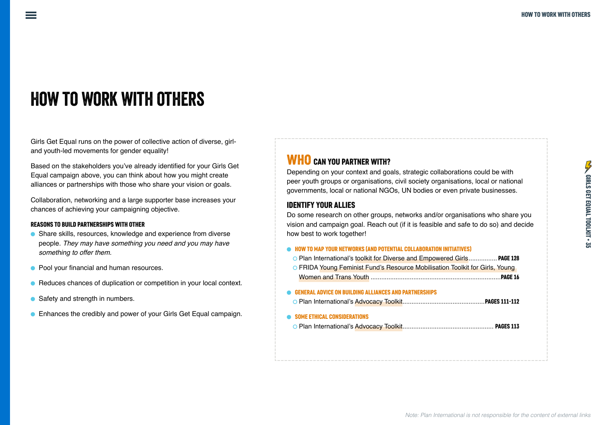# How to work with others

Girls Get Equal runs on the power of collective action of diverse, girland youth-led movements for gender equality!

Based on the stakeholders you've already identified for your Girls Get Equal campaign above, you can think about how you might create alliances or partnerships with those who share your vision or goals.

Collaboration, networking and a large supporter base increases your chances of achieving your campaigning objective.

#### REASONS TO BUILD PARTNERSHIPS WITH OTHER

- ā Share skills, resources, knowledge and experience from diverse people. *They may have something you need and you may have something to offer them.*
- Pool your financial and human resources.
- Reduces chances of duplication or competition in your local context.
- Safety and strength in numbers.
- Enhances the credibly and power of your Girls Get Equal campaign.

# WHO CAN YOU PARTNER WITH?

Depending on your context and goals, strategic collaborations could be with peer youth groups or organisations, civil society organisations, local or national governments, local or national NGOs, UN bodies or even private businesses.

#### IDENTIFY YOUR ALLIES

Do some research on other groups, networks and/or organisations who share you vision and campaign goal. Reach out (if it is feasible and safe to do so) and decide how best to work together!

| • HOW TO MAP YOUR NETWORKS (AND POTENTIAL COLLABORATION INITIATIVES)         |  |
|------------------------------------------------------------------------------|--|
| O Plan International's toolkit for Diverse and Empowered Girls PAGE 128      |  |
| O FRIDA Young Feminist Fund's Resource Mobilisation Toolkit for Girls, Young |  |
|                                                                              |  |
|                                                                              |  |
| <b>GENERAL ADVICE ON BUILDING ALLIANCES AND PARTNERSHIPS</b>                 |  |
|                                                                              |  |
| <b>SOME ETHICAL CONSIDERATIONS</b>                                           |  |
|                                                                              |  |
|                                                                              |  |
|                                                                              |  |
|                                                                              |  |